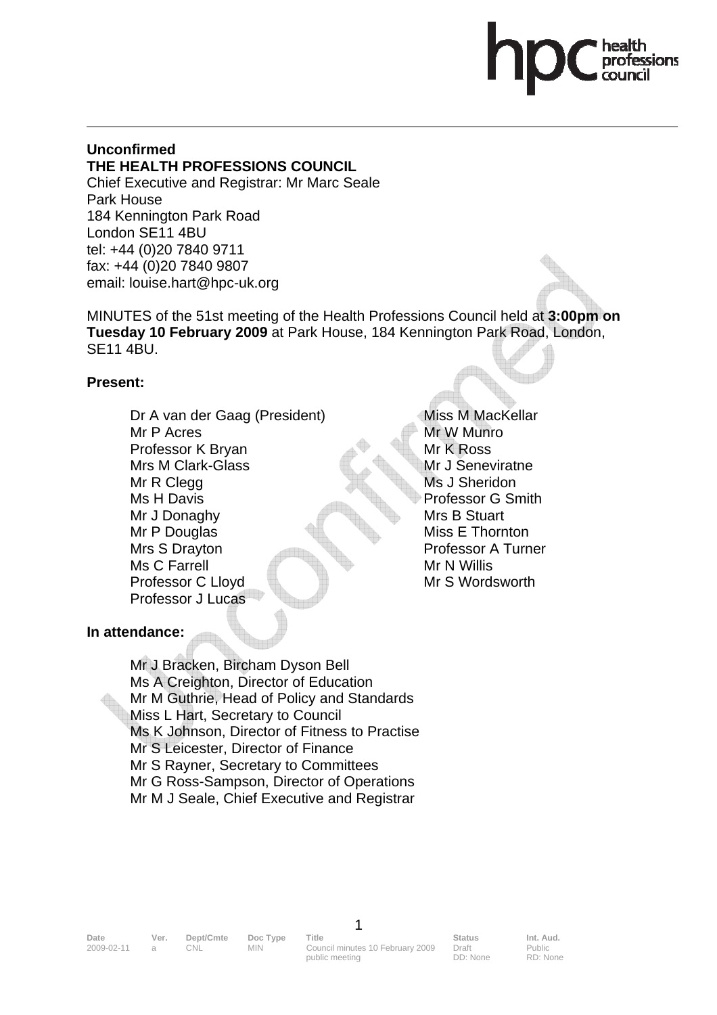#### **Unconfirmed THE HEALTH PROFESSIONS COUNCIL**

Chief Executive and Registrar: Mr Marc Seale Park House 184 Kennington Park Road London SE11 4BU tel: +44 (0)20 7840 9711 fax: +44 (0)20 7840 9807 email: louise.hart@hpc-uk.org

MINUTES of the 51st meeting of the Health Professions Council held at **3:00pm on Tuesday 10 February 2009** at Park House, 184 Kennington Park Road, London, SE11 4BU.

#### **Present:**

Dr A van der Gaag (President) Mr P Acres Professor K Bryan Mrs M Clark-Glass Mr R Clegg Ms H Davis Mr J Donaghy Mr P Douglas Mrs S Drayton Ms C Farrell Professor C Lloyd Professor J Lucas

Miss M MacKellar Mr W Munro Mr K Ross Mr J Seneviratne Ms J Sheridon Professor G Smith Mrs B Stuart Miss E Thornton Professor A Turner Mr N Willis Mr S Wordsworth

# **In attendance:**

 Mr J Bracken, Bircham Dyson Bell Ms A Creighton, Director of Education Mr M Guthrie, Head of Policy and Standards Miss L Hart, Secretary to Council Ms K Johnson, Director of Fitness to Practise Mr S Leicester, Director of Finance Mr S Rayner, Secretary to Committees Mr G Ross-Sampson, Director of Operations Mr M J Seale, Chief Executive and Registrar

1

Draft DD: None

Public RD: None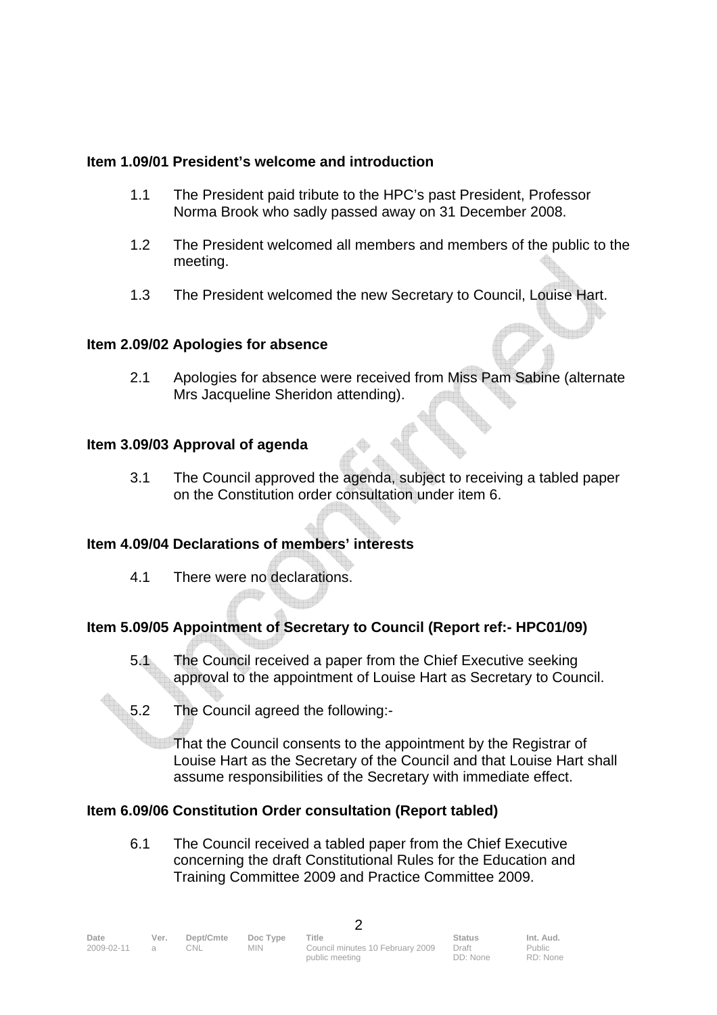#### **Item 1.09/01 President's welcome and introduction**

- 1.1 The President paid tribute to the HPC's past President, Professor Norma Brook who sadly passed away on 31 December 2008.
- 1.2 The President welcomed all members and members of the public to the meeting.
- 1.3 The President welcomed the new Secretary to Council, Louise Hart.

#### **Item 2.09/02 Apologies for absence**

2.1 Apologies for absence were received from Miss Pam Sabine (alternate Mrs Jacqueline Sheridon attending).

#### **Item 3.09/03 Approval of agenda**

3.1 The Council approved the agenda, subject to receiving a tabled paper on the Constitution order consultation under item 6.

# **Item 4.09/04 Declarations of members' interests**

4.1 There were no declarations.

# **Item 5.09/05 Appointment of Secretary to Council (Report ref:- HPC01/09)**

- 5.1 The Council received a paper from the Chief Executive seeking approval to the appointment of Louise Hart as Secretary to Council.
- 5.2 The Council agreed the following:-

That the Council consents to the appointment by the Registrar of Louise Hart as the Secretary of the Council and that Louise Hart shall assume responsibilities of the Secretary with immediate effect.

# **Item 6.09/06 Constitution Order consultation (Report tabled)**

 6.1 The Council received a tabled paper from the Chief Executive concerning the draft Constitutional Rules for the Education and Training Committee 2009 and Practice Committee 2009.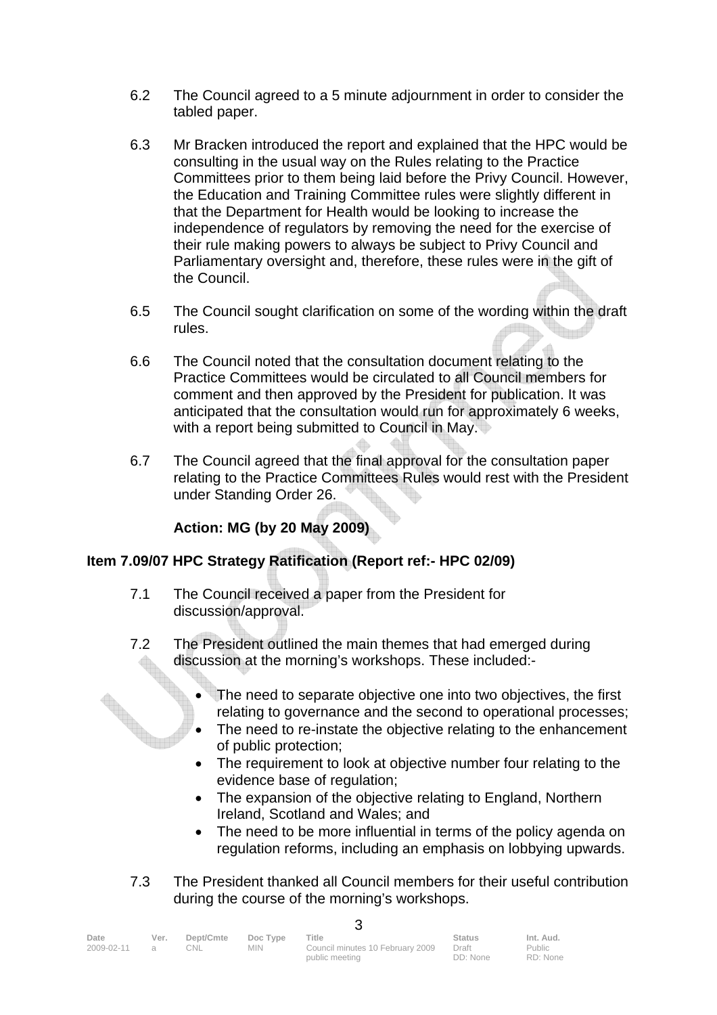- 6.2 The Council agreed to a 5 minute adjournment in order to consider the tabled paper.
- 6.3 Mr Bracken introduced the report and explained that the HPC would be consulting in the usual way on the Rules relating to the Practice Committees prior to them being laid before the Privy Council. However, the Education and Training Committee rules were slightly different in that the Department for Health would be looking to increase the independence of regulators by removing the need for the exercise of their rule making powers to always be subject to Privy Council and Parliamentary oversight and, therefore, these rules were in the gift of the Council.
- 6.5 The Council sought clarification on some of the wording within the draft rules.
- 6.6 The Council noted that the consultation document relating to the Practice Committees would be circulated to all Council members for comment and then approved by the President for publication. It was anticipated that the consultation would run for approximately 6 weeks, with a report being submitted to Council in May.
- 6.7 The Council agreed that the final approval for the consultation paper relating to the Practice Committees Rules would rest with the President under Standing Order 26.

# **Action: MG (by 20 May 2009)**

# **Item 7.09/07 HPC Strategy Ratification (Report ref:- HPC 02/09)**

- 7.1 The Council received a paper from the President for discussion/approval.
- 7.2 The President outlined the main themes that had emerged during discussion at the morning's workshops. These included:-
	- The need to separate objective one into two objectives, the first relating to governance and the second to operational processes;
	- The need to re-instate the objective relating to the enhancement of public protection;
	- The requirement to look at objective number four relating to the evidence base of regulation;
	- The expansion of the objective relating to England, Northern Ireland, Scotland and Wales; and
	- The need to be more influential in terms of the policy agenda on regulation reforms, including an emphasis on lobbying upwards.
- 7.3 The President thanked all Council members for their useful contribution during the course of the morning's workshops.

| Date               | Ver. | Dept/Cmte | Doc Type | Title                            | Status   | Int. Aud. |  |
|--------------------|------|-----------|----------|----------------------------------|----------|-----------|--|
| $2009 - 02 - 11$ a |      | CNL.      | MIN.     | Council minutes 10 February 2009 | Draft    | Public    |  |
|                    |      |           |          | public meeting                   | DD: None | RD: None  |  |

 $\mathbf{\Omega}$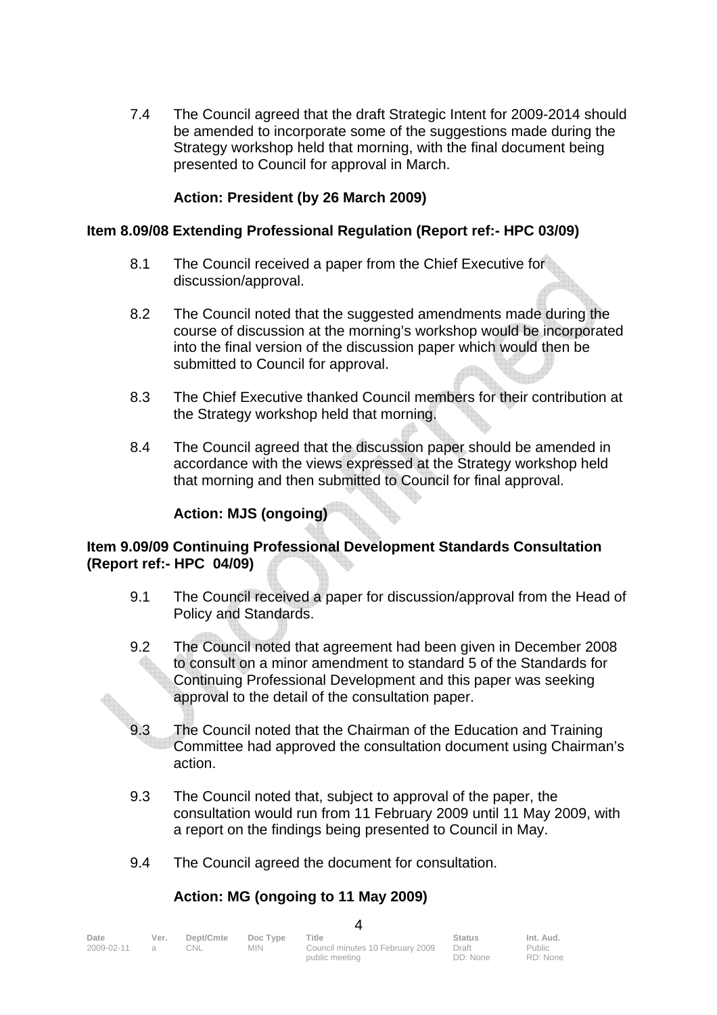7.4 The Council agreed that the draft Strategic Intent for 2009-2014 should be amended to incorporate some of the suggestions made during the Strategy workshop held that morning, with the final document being presented to Council for approval in March.

#### **Action: President (by 26 March 2009)**

#### **Item 8.09/08 Extending Professional Regulation (Report ref:- HPC 03/09)**

- 8.1 The Council received a paper from the Chief Executive for discussion/approval.
- 8.2 The Council noted that the suggested amendments made during the course of discussion at the morning's workshop would be incorporated into the final version of the discussion paper which would then be submitted to Council for approval.
- 8.3 The Chief Executive thanked Council members for their contribution at the Strategy workshop held that morning.
- 8.4 The Council agreed that the discussion paper should be amended in accordance with the views expressed at the Strategy workshop held that morning and then submitted to Council for final approval.

#### **Action: MJS (ongoing)**

#### **Item 9.09/09 Continuing Professional Development Standards Consultation (Report ref:- HPC 04/09)**

- 9.1 The Council received a paper for discussion/approval from the Head of Policy and Standards.
- 9.2 The Council noted that agreement had been given in December 2008 to consult on a minor amendment to standard 5 of the Standards for Continuing Professional Development and this paper was seeking approval to the detail of the consultation paper.
- **EXECUTE:**<br>9.3 The Council noted that the Chairman of the Education and Training<br>2.3 The Council noted that the Chairman of the Education and Training Committee had approved the consultation document using Chairman's action.
	- 9.3 The Council noted that, subject to approval of the paper, the consultation would run from 11 February 2009 until 11 May 2009, with a report on the findings being presented to Council in May.
	- 9.4 The Council agreed the document for consultation.

# **Action: MG (ongoing to 11 May 2009)**

| Date<br>$2009 - 02 - 11$ a | Ver. | Dept/Cmte<br>CNL. | Doc Type<br><b>MIN</b> | Title<br>Council minutes 10 February 2009<br>public meeting | <b>Status</b><br>Draft<br>DD: None | Int. Aud.<br>Public<br>RD: None |  |
|----------------------------|------|-------------------|------------------------|-------------------------------------------------------------|------------------------------------|---------------------------------|--|